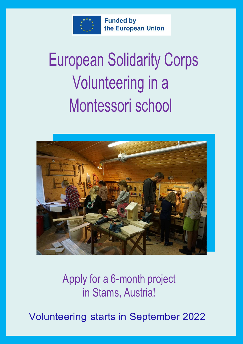

**Funded by** the European Union

# European Solidarity Corps Volunteering in a Montessori school



Apply for a 6-month project in Stams, Austria!

Volunteering starts in September 2022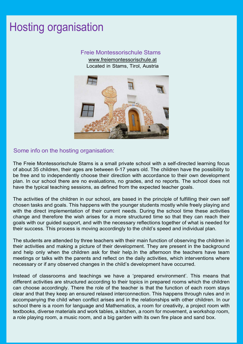#### Hosting organisation

#### Freie Montessorischule Stams

www.freiemontessorischule.at Located in Stams, Tirol, Austria



#### Some info on the hosting organisation:

The Freie Montessorischule Stams is a small private school with a self-directed learning focus of about 35 children, their ages are between 6-17 years old. The children have the possibility to be free and to independently choose their direction with accordance to their own development plan. In our school there are no evaluations, no grades, and no reports. The school does not have the typical teaching sessions, as defined from the expected teacher goals.

The activities of the children in our school, are based in the principle of fulfilling their own self chosen tasks and goals. This happens with the younger students mostly while freely playing and with the direct implementation of their current needs. During the school time these activities change and therefore the wish arises for a more structured time so that they can reach their goals with our guided support, and with the necessary reflections together of what is needed for their success. This process is moving accordingly to the child's speed and individual plan.

The students are attended by three teachers with their main function of observing the children in their activities and making a picture of their development. They are present in the background and help only when the children ask for their help.In the afternoon the teachers have team meetings or talks with the parents and reflect on the daily activities, which interventions where necessary or if any observed changes in the child's development have occurred.

Instead of classrooms and teachings we have a 'prepared environment'. This means that different activities are structured according to their topics in prepared rooms which the children can choose accordingly. There the role of the teacher is that the function of each room stays clear and that they keep an ensured relaxed interconnection. This happens through rules and in accompanying the child when conflict arises and in the relationships with other children. In our school there is a room for language and Mathematics, a room for creativity, a project room with textbooks, diverse materials and work tables, a kitchen, a room for movement, a workshop room, a role playing room, a music room, and a big garden with its own fire place and sand box.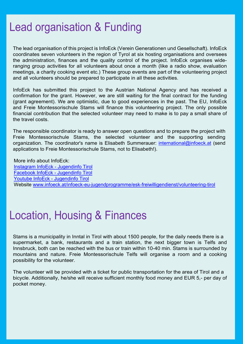#### Lead organisation & Funding

The lead organisation of this project is InfoEck (Verein Generationen und Gesellschaft). InfoEck coordinates seven volunteers in the region of Tyrol at six hosting organisations and oversees the administration, finances and the quality control of the project. InfoEck organises wideranging group activities for all volunteers about once a month (like a radio show, evaluation meetings, a charity cooking event etc.) These group events are part of the volunteering project and all volunteers should be prepared to participate in all these activities.

InfoEck has submitted this project to the Austrian National Agency and has received a confirmation for the grant. However, we are still waiting for the final contract for the funding (grant agreement). We are optimistic, due to good experiences in the past. The EU, InfoEck and Freie Montessorischule Stams will finance this volunteering project. The only possible financial contribution that the selected volunteer may need to make is to pay a small share of the travel costs.

The responsible coordinator is ready to answer open questions and to prepare the project with Freie Montessorischule Stams, the selected volunteer and the supporting sending organization. The coordinator's name is Elisabeth Summerauer: international@infoeck.at (send applications to Freie Montessorischule Stams, not to Elisabeth!).

More info about InfoEck: Instagram InfoEck - Jugendinfo Tirol Facebook InfoEck - Jugendinfo Tirol Youtube InfoEck - Jugendinfo Tirol Website www.infoeck.at/infoeck-eu-jugendprogramme/esk-freiwilligendienst/volunteering-tirol

#### Location, Housing & Finances

Stams is a municipality in Inntal in Tirol with about 1500 people, for the daily needs there is a supermarket, a bank, restaurants and a train station, the next bigger town is Telfs and Innsbruck, both can be reached with the bus or train within 10-40 min. Stams is surrounded by mountains and nature. Freie Montessorischule Telfs will organise a room and a cooking possibility for the volunteer.

The volunteer will be provided with a ticket for public transportation for the area of Tirol and a bicycle. Additionally, he/she will receive sufficient monthly food money and EUR 5,- per day of pocket money.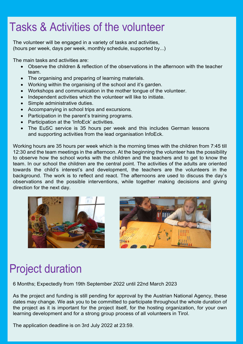### Tasks & Activities of the volunteer

The volunteer will be engaged in a variety of tasks and activities, (hours per week, days per week, monthly schedule, supported by...)

The main tasks and activities are:

- Observe the children & reflection of the observations in the afternoon with the teacher team.
- The organising and preparing of learning materials.
- Working within the organising of the school and it's garden.
- Workshops and communication in the mother tongue of the volunteer.
- Independent activities which the volunteer will like to initiate.
- Simple administrative duties.
- Accompanying in school trips and excursions.
- Participation in the parent's training programs.
- Participation at the 'InfoEck' activities.
- The EuSC service is 35 hours per week and this includes German lessons and supporting activities from the lead organisation InfoEck.

Working hours are 35 hours per week which is the morning times with the children from 7:45 till 12:30 and the team meetings in the afternoon. At the beginning the volunteer has the possibility to observe how the school works with the children and the teachers and to get to know the team. In our school the children are the central point. The activities of the adults are oriented towards the child's interest's and development, the teachers are the volunteers in the background. The work is to reflect and react. The afternoons are used to discuss the day's observations and the possible interventions, while together making decisions and giving direction for the next day.





## Project duration

6 Months; Expectedly from 19th September 2022 until 22nd March 2023

As the project and funding is still pending for approval by the Austrian National Agency, these dates may change. We ask you to be committed to participate throughout the whole duration of the project as it is important for the project itself, for the hosting organization, for your own learning development and for a strong group process of all volunteers in Tirol.

The application deadline is on 3rd July 2022 at 23:59.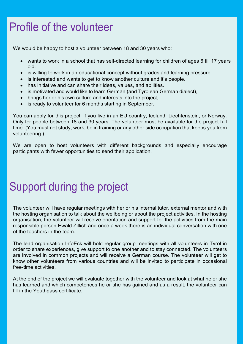### Profile of the volunteer

We would be happy to host a volunteer between 18 and 30 years who:

- wants to work in a school that has self-directed learning for children of ages 6 till 17 years old.
- is willing to work in an educational concept without grades and learning pressure.
- is interested and wants to get to know another culture and it's people.
- has initiative and can share their ideas, values, and abilities.
- is motivated and would like to learn German (and Tyrolean German dialect),
- brings her or his own culture and interests into the project,
- is ready to volunteer for 6 months starting in September.

You can apply for this project, if you live in an EU country, Iceland, Liechtenstein, or Norway. Only for people between 18 and 30 years. The volunteer must be available for the project full time. (You must not study, work, be in training or any other side occupation that keeps you from volunteering.)

We are open to host volunteers with different backgrounds and especially encourage participants with fewer opportunities to send their application.

### Support during the project

The volunteer will have regular meetings with her or his internal tutor, external mentor and with the hosting organisation to talk about the wellbeing or about the project activities. In the hosting organisation, the volunteer will receive orientation and support for the activities from the main responsible person Ewald Zillich and once a week there is an individual conversation with one of the teachers in the team.

The lead organisation InfoEck will hold regular group meetings with all volunteers in Tyrol in order to share experiences, give support to one another and to stay connected. The volunteers are involved in common projects and will receive a German course. The volunteer will get to know other volunteers from various countries and will be invited to participate in occasional free-time activities.

At the end of the project we will evaluate together with the volunteer and look at what he or she has learned and which competences he or she has gained and as a result, the volunteer can fill in the Youthpass certificate.